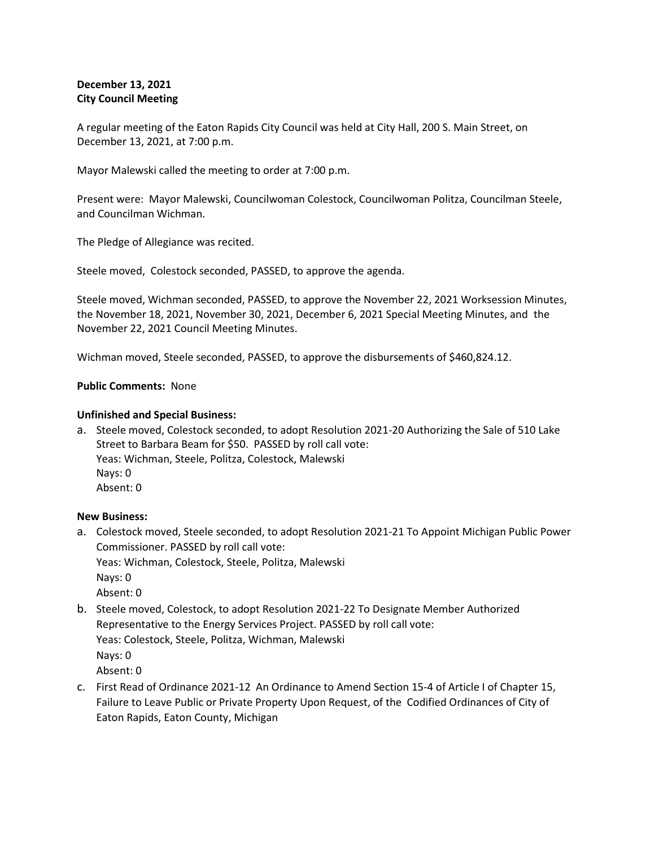# **December 13, 2021 City Council Meeting**

A regular meeting of the Eaton Rapids City Council was held at City Hall, 200 S. Main Street, on December 13, 2021, at 7:00 p.m.

Mayor Malewski called the meeting to order at 7:00 p.m.

Present were: Mayor Malewski, Councilwoman Colestock, Councilwoman Politza, Councilman Steele, and Councilman Wichman.

The Pledge of Allegiance was recited.

Steele moved, Colestock seconded, PASSED, to approve the agenda.

Steele moved, Wichman seconded, PASSED, to approve the November 22, 2021 Worksession Minutes, the November 18, 2021, November 30, 2021, December 6, 2021 Special Meeting Minutes, and the November 22, 2021 Council Meeting Minutes.

Wichman moved, Steele seconded, PASSED, to approve the disbursements of \$460,824.12.

## **Public Comments:** None

## **Unfinished and Special Business:**

a. Steele moved, Colestock seconded, to adopt Resolution 2021-20 Authorizing the Sale of 510 Lake Street to Barbara Beam for \$50. PASSED by roll call vote: Yeas: Wichman, Steele, Politza, Colestock, Malewski Nays: 0 Absent: 0

### **New Business:**

a. Colestock moved, Steele seconded, to adopt Resolution 2021-21 To Appoint Michigan Public Power Commissioner. PASSED by roll call vote:

Yeas: Wichman, Colestock, Steele, Politza, Malewski Nays: 0 Absent: 0

- b. Steele moved, Colestock, to adopt Resolution 2021-22 To Designate Member Authorized Representative to the Energy Services Project. PASSED by roll call vote: Yeas: Colestock, Steele, Politza, Wichman, Malewski Nays: 0 Absent: 0
- c. First Read of Ordinance 2021-12 An Ordinance to Amend Section 15-4 of Article I of Chapter 15, Failure to Leave Public or Private Property Upon Request, of the Codified Ordinances of City of Eaton Rapids, Eaton County, Michigan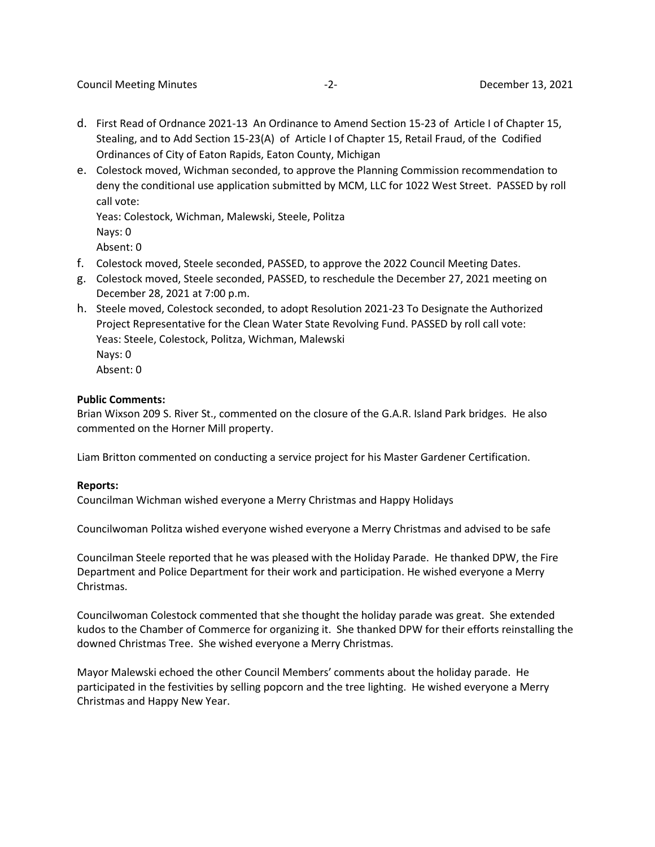- d. First Read of Ordnance 2021-13 An Ordinance to Amend Section 15-23 of Article I of Chapter 15, Stealing, and to Add Section 15-23(A) of Article I of Chapter 15, Retail Fraud, of the Codified Ordinances of City of Eaton Rapids, Eaton County, Michigan
- e. Colestock moved, Wichman seconded, to approve the Planning Commission recommendation to deny the conditional use application submitted by MCM, LLC for 1022 West Street. PASSED by roll call vote:

Yeas: Colestock, Wichman, Malewski, Steele, Politza Nays: 0 Absent: 0

- f. Colestock moved, Steele seconded, PASSED, to approve the 2022 Council Meeting Dates.
- g. Colestock moved, Steele seconded, PASSED, to reschedule the December 27, 2021 meeting on December 28, 2021 at 7:00 p.m.
- h. Steele moved, Colestock seconded, to adopt Resolution 2021-23 To Designate the Authorized Project Representative for the Clean Water State Revolving Fund. PASSED by roll call vote: Yeas: Steele, Colestock, Politza, Wichman, Malewski Nays: 0 Absent: 0

### **Public Comments:**

Brian Wixson 209 S. River St., commented on the closure of the G.A.R. Island Park bridges. He also commented on the Horner Mill property.

Liam Britton commented on conducting a service project for his Master Gardener Certification.

### **Reports:**

Councilman Wichman wished everyone a Merry Christmas and Happy Holidays

Councilwoman Politza wished everyone wished everyone a Merry Christmas and advised to be safe

Councilman Steele reported that he was pleased with the Holiday Parade. He thanked DPW, the Fire Department and Police Department for their work and participation. He wished everyone a Merry Christmas.

Councilwoman Colestock commented that she thought the holiday parade was great. She extended kudos to the Chamber of Commerce for organizing it. She thanked DPW for their efforts reinstalling the downed Christmas Tree. She wished everyone a Merry Christmas.

Mayor Malewski echoed the other Council Members' comments about the holiday parade. He participated in the festivities by selling popcorn and the tree lighting. He wished everyone a Merry Christmas and Happy New Year.